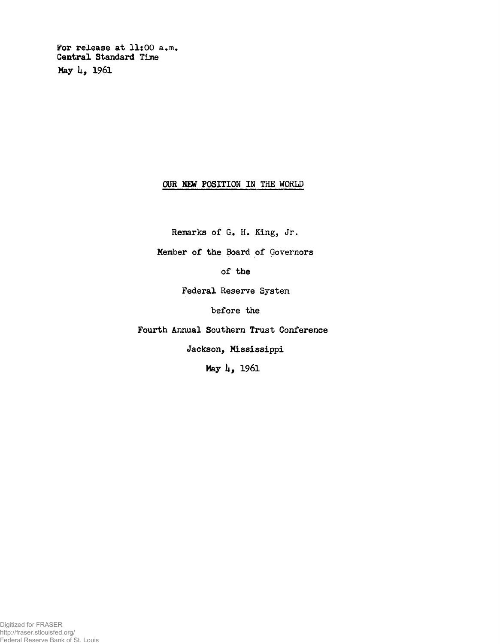**For release at 11:00 a.m. Central Standard Time May U, 1961**

## **OUR NEW POSITION IN THE WORLD**

**Remarks of G. H. King, Jr.**

**Member of the Board of Governors**

**of the**

**Federal Reserve System**

**before the**

**Fourth Annual Southern Trust Conference**

**Jackson, Mississippi**

**May U, 1961**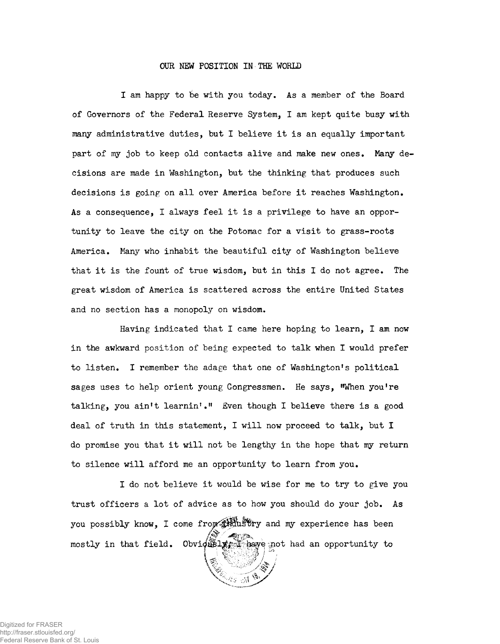## **OUR NEW POSITION IN THE WORLD**

I am happy to be with you today. As a member of the Board of Governors of the Federal Reserve System, I am kept quite busy with many administrative duties, but I believe it is an equally important part of my job to keep old contacts alive and make new ones. Many decisions are made in Washington, but the thinking that produces such decisions is going on all over America before it reaches Washington. As a consequence, I always feel it is a privilege to have an opportunity to leave the city on the Potomac for a visit to grass-roots America. Many who inhabit the beautiful city of Washington believe that it is the fount of true wisdom, but in this **I** do not agree. The great wisdom of America is scattered across the entire United States and no section has a monopoly on wisdom.

Having indicated that I came here hoping to learn, I am now in the awkward position of being expected to talk when **I** would prefer to listen. **I** remember the adage that one of Washington's political sages uses to help orient young Congressmen. He says, "When you're talking, you ain't learnin'." Even though **I** believe there is a good deal of truth in this statement, I will now proceed to talk, but I do promise you that it will not be lengthy in the hope that my return to silence will afford me an opportunity to learn from you.

**I** do not believe it would be wise for me to try to give you trust officers a lot of advice as to how you should do your job. As you possibly know, I come from the stry and my experience has been mostly in that field. Obviously  $\frac{1}{2}$  have not had an opportunity to

Digitized for FRASER http://fraser.stlouisfed.org/ Federal Reserve Bank of St. Louis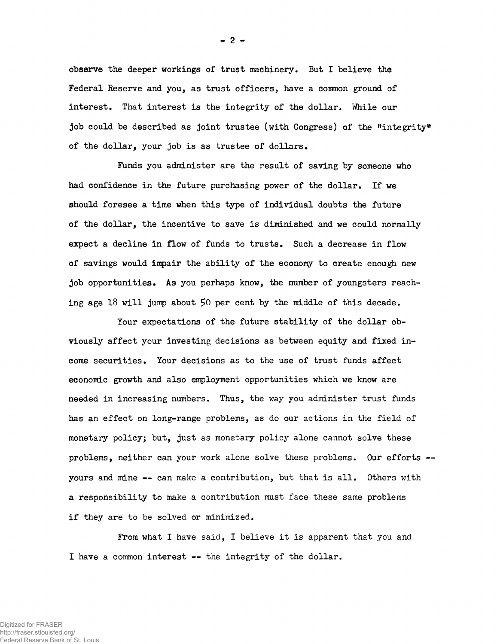**observe the deeper workings of trust machinery. But I believe the Federal Reserve and you, as trust officers, have a common ground of interest. That interest is the integrity of the dollar. While our job could be described as joint trustee (with Congress) of the "integrity" of the dollar, your job is as trustee of dollars.**

**Funds you administer are the result of saving by someone who had confidence in the future purchasing power of the dollar. If we should foresee a time when this type of individual doubts the future of the dollar, the incentive to save is diminished and we could normally expect a decline in flow of funds to trusts. Such a decrease in flow of savings would impair the ability of the economy to create enough new job opportunities. As you perhaps know, the number of youngsters reaching age 18 will jump about 50 per cent by the middle of this decade.**

**Your expectations of the future stability of the dollar obviously affect your investing decisions as between equity and fixed income securities. Your decisions as to the use of trust funds affect economic growth and also employment opportunities which we know are needed in increasing numbers. Thus, the way you administer trust funds has an effect on long-range problems, as do our actions in the field of monetary policy; but, just as monetary policy alone cannot solve these problems, neither can your work alone solve these problems. Our efforts yours and mine — can make a contribution, but that is all. Others with a responsibility to make a contribution must face these same problems if they are to be solved or minimized.**

**From what I have said, I believe it is apparent that you and I have a common interest — the integrity of the dollar.**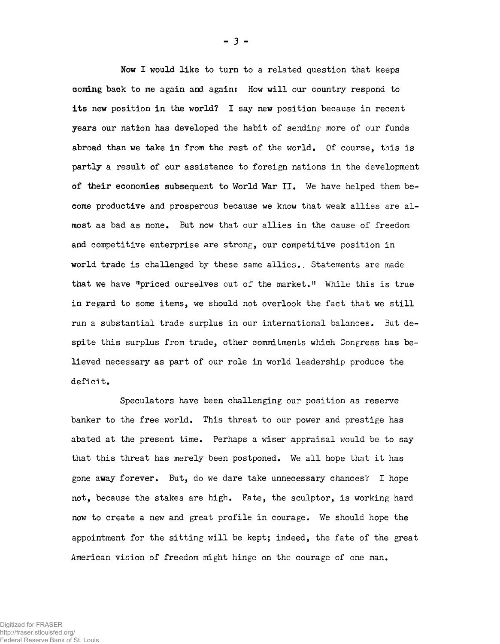Now I would like to turn to a related question that keeps coming back to me again and again: How will our country respond to its new position in the world? I say new position because in recent years our nation has developed the habit of sending more of our funds abroad than we take in from the rest of the world. Of course, this is partly a result of our assistance to foreign nations in the development of their economies subsequent to World War II. We have helped them become productive and prosperous because we know that weak allies are almost as bad as none. But now that our allies in the cause of freedom and competitive enterprise are strong, our competitive position in world trade is challenged by these same allies.. Statements are made that we have "priced ourselves out of the market." While this is true in regard to some items, we should not overlook the fact that we still run a substantial trade surplus in our international balances. But despite this surplus from trade, other commitments which Congress has believed necessary as part of our role in world leadership produce the deficit.

Speculators have been challenging our position as reserve banker to the free world. This threat to our power and prestige has abated at the present time. Perhaps a wiser appraisal would be to say that this threat has merely been postponed. We all hope that it has gone away forever. But, do we dare take unnecessary chances? I hope not, because the stakes are high. Fate, the sculptor, is working hard now to create a new and great profile in courage. We should hope the appointment for the sitting will be kept; indeed, the fate of the great American vision of freedom might hinge on the courage of one man.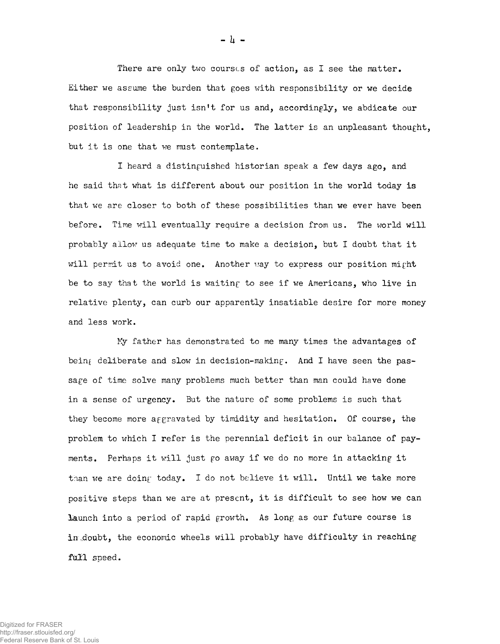There are only two courscs of action, as I see the matter. Either we assume the burden that goes with responsibility or we decide that responsibility just isn't for us and, accordingly, we abdicate our position of leadership in the world. The latter is an unpleasant thought, but it is one that we must contemplate.

I heard a distinguished historian speak a few days ago, and he said that what is different about our position in the world today is that we are closer to both of these possibilities than we ever have been before. Time will eventually require a decision from us. The world will probably allow us adequate time to make a decision, but I doubt that it will permit us to avoid one. Another way to express our position might be to say that the world is waiting to see if we Americans, who live in relative plenty, can curb our apparently insatiable desire for more money and less work.

Ky father has demonstrated to me many times the advantages of being deliberate and slow in decision-making. And I have seen the passage of time solve many problems much better than man could have done in a sense of urgency. But the nature of some problems is such that they become more aggravated by timidity and hesitation. Of course, the problem to which I refer is the perennial deficit in our balance of payments. Perhaps it will just go away if we do no more in attacking it than we are doing today. I do not believe it will. Until we take more positive steps than we are at present, it is difficult to see how we can launch into a period of rapid growth. As long as our future course is in doubt, the economic wheels will probably have difficulty in reaching full speed.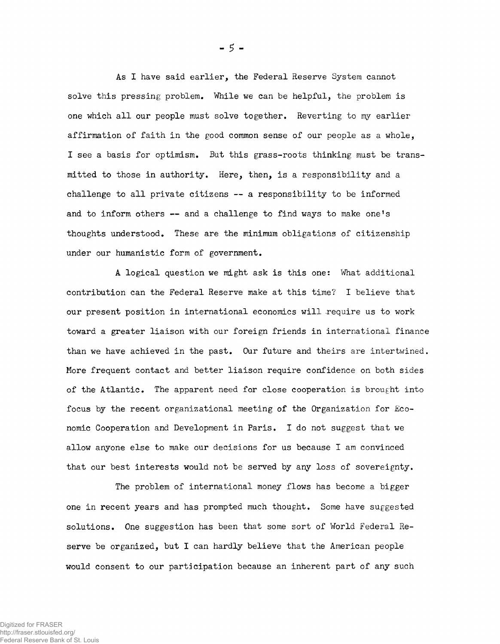As I have said earlier, the Federal Reserve System cannot solve this pressing problem. While we can be helpful, the problem is one which all our people must solve together. Reverting to my earlier affirmation of faith in the good common sense of our people as a whole, I see a basis for optimism. But this grass-roots thinking must be transmitted to those in authority. Here, then, is a responsibility and a challenge to all private citizens — a responsibility to be informed and to inform others — and a challenge to find ways to make one's thoughts understood. These are the minimum obligations of citizenship under our humanistic form of government.

A logical question we might ask is this one: What additional contribution can the Federal Reserve make at this time? I believe that our present position in international economics will require us to work toward a greater liaison with our foreign friends in international finance than we have achieved in the past. Our future and theirs are intertwined. More frequent contact and better liaison require confidence on both sides of the Atlantic. The apparent need for close cooperation is brought into focus by the recent organizational meeting of the Organization for Economic Cooperation and Development in Paris. I do not suggest that we allow anyone else to make our decisions for us because I am convinced that our best interests would not be served by any loss of sovereignty.

The problem of international money flows has become a bigger one in recent years and has prompted much thought. Some have suggested solutions. One suggestion has been that some sort of World Federal Reserve be organized, but I can hardly believe that the American people would consent to our participation because an inherent part of any such

**- 5 -**